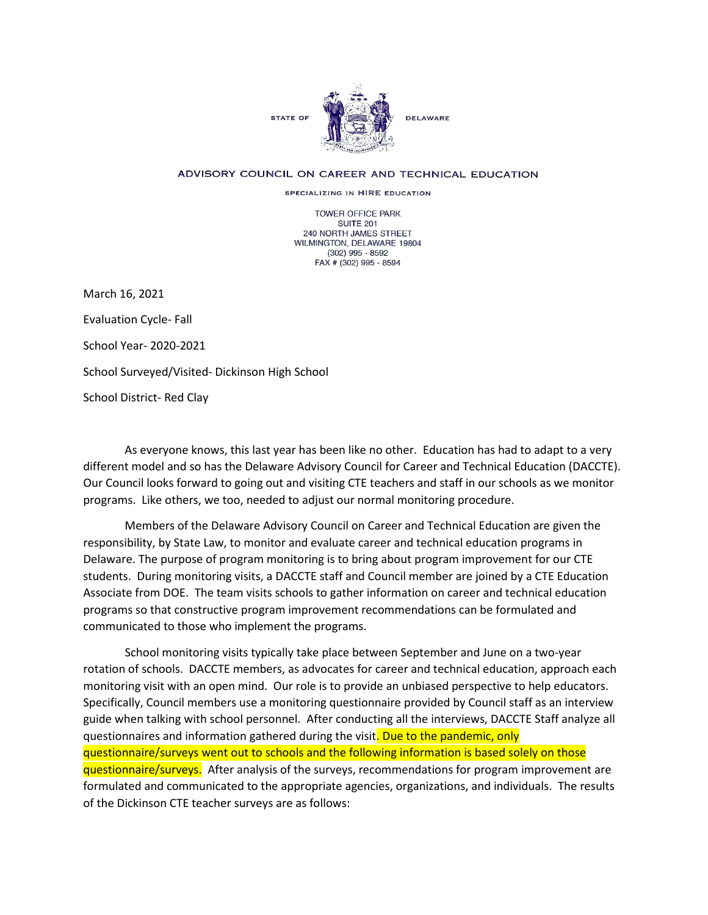

## ADVISORY COUNCIL ON CAREER AND TECHNICAL EDUCATION

SPECIALIZING IN HIRE EDUCATION

**TOWER OFFICE PARK SUITE 201** 240 NORTH JAMES STREET WILMINGTON, DELAWARE 19804  $(302)$  995 - 8592 FAX # (302) 995 - 8594

March 16, 2021 Evaluation Cycle- Fall School Year- 2020-2021

School Surveyed/Visited- Dickinson High School

School District- Red Clay

As everyone knows, this last year has been like no other. Education has had to adapt to a very different model and so has the Delaware Advisory Council for Career and Technical Education (DACCTE). Our Council looks forward to going out and visiting CTE teachers and staff in our schools as we monitor programs. Like others, we too, needed to adjust our normal monitoring procedure.

Members of the Delaware Advisory Council on Career and Technical Education are given the responsibility, by State Law, to monitor and evaluate career and technical education programs in Delaware. The purpose of program monitoring is to bring about program improvement for our CTE students. During monitoring visits, a DACCTE staff and Council member are joined by a CTE Education Associate from DOE. The team visits schools to gather information on career and technical education programs so that constructive program improvement recommendations can be formulated and communicated to those who implement the programs.

School monitoring visits typically take place between September and June on a two-year rotation of schools. DACCTE members, as advocates for career and technical education, approach each monitoring visit with an open mind. Our role is to provide an unbiased perspective to help educators. Specifically, Council members use a monitoring questionnaire provided by Council staff as an interview guide when talking with school personnel. After conducting all the interviews, DACCTE Staff analyze all questionnaires and information gathered during the visit. Due to the pandemic, only questionnaire/surveys went out to schools and the following information is based solely on those questionnaire/surveys. After analysis of the surveys, recommendations for program improvement are formulated and communicated to the appropriate agencies, organizations, and individuals. The results of the Dickinson CTE teacher surveys are as follows: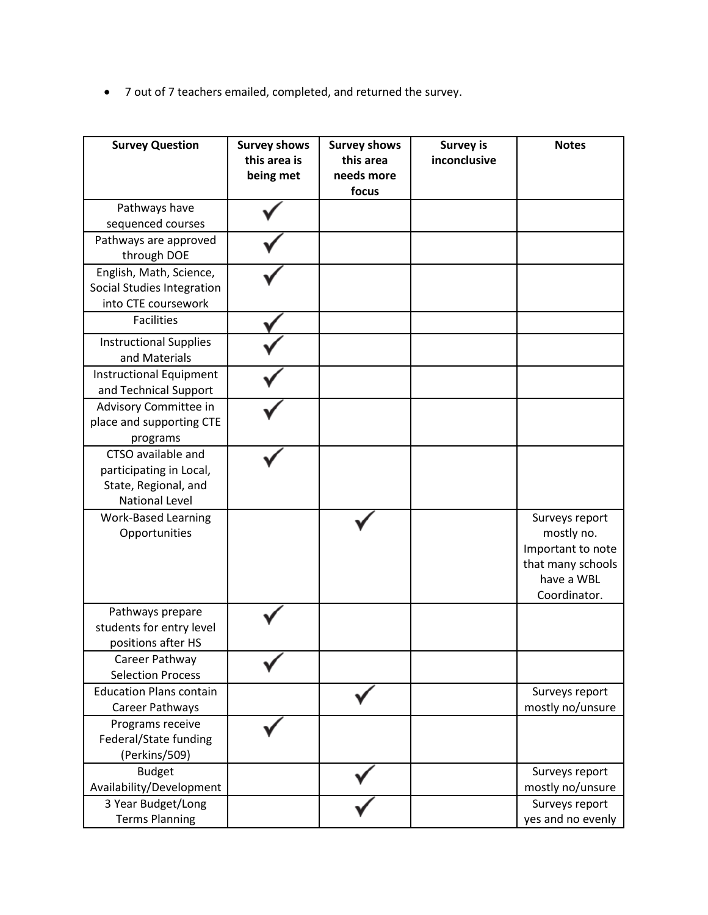• 7 out of 7 teachers emailed, completed, and returned the survey.

| <b>Survey Question</b>                                  | <b>Survey shows</b><br>this area is<br>being met | <b>Survey shows</b><br>this area<br>needs more | <b>Survey is</b><br>inconclusive | <b>Notes</b>               |
|---------------------------------------------------------|--------------------------------------------------|------------------------------------------------|----------------------------------|----------------------------|
|                                                         |                                                  | focus                                          |                                  |                            |
| Pathways have                                           |                                                  |                                                |                                  |                            |
| sequenced courses                                       |                                                  |                                                |                                  |                            |
| Pathways are approved                                   |                                                  |                                                |                                  |                            |
| through DOE                                             |                                                  |                                                |                                  |                            |
| English, Math, Science,                                 |                                                  |                                                |                                  |                            |
| Social Studies Integration<br>into CTE coursework       |                                                  |                                                |                                  |                            |
| <b>Facilities</b>                                       |                                                  |                                                |                                  |                            |
|                                                         |                                                  |                                                |                                  |                            |
| <b>Instructional Supplies</b><br>and Materials          |                                                  |                                                |                                  |                            |
| <b>Instructional Equipment</b><br>and Technical Support |                                                  |                                                |                                  |                            |
| Advisory Committee in                                   |                                                  |                                                |                                  |                            |
| place and supporting CTE                                |                                                  |                                                |                                  |                            |
| programs                                                |                                                  |                                                |                                  |                            |
| CTSO available and                                      |                                                  |                                                |                                  |                            |
| participating in Local,<br>State, Regional, and         |                                                  |                                                |                                  |                            |
| <b>National Level</b>                                   |                                                  |                                                |                                  |                            |
| <b>Work-Based Learning</b>                              |                                                  |                                                |                                  | Surveys report             |
| Opportunities                                           |                                                  |                                                |                                  | mostly no.                 |
|                                                         |                                                  |                                                |                                  | Important to note          |
|                                                         |                                                  |                                                |                                  | that many schools          |
|                                                         |                                                  |                                                |                                  | have a WBL<br>Coordinator. |
| Pathways prepare                                        |                                                  |                                                |                                  |                            |
| students for entry level                                |                                                  |                                                |                                  |                            |
| positions after HS                                      |                                                  |                                                |                                  |                            |
| Career Pathway                                          |                                                  |                                                |                                  |                            |
| <b>Selection Process</b>                                |                                                  |                                                |                                  |                            |
| <b>Education Plans contain</b>                          |                                                  |                                                |                                  | Surveys report             |
| Career Pathways                                         |                                                  |                                                |                                  | mostly no/unsure           |
| Programs receive                                        |                                                  |                                                |                                  |                            |
| Federal/State funding                                   |                                                  |                                                |                                  |                            |
| (Perkins/509)<br><b>Budget</b>                          |                                                  |                                                |                                  | Surveys report             |
| Availability/Development                                |                                                  |                                                |                                  | mostly no/unsure           |
| 3 Year Budget/Long                                      |                                                  |                                                |                                  | Surveys report             |
| <b>Terms Planning</b>                                   |                                                  |                                                |                                  | yes and no evenly          |